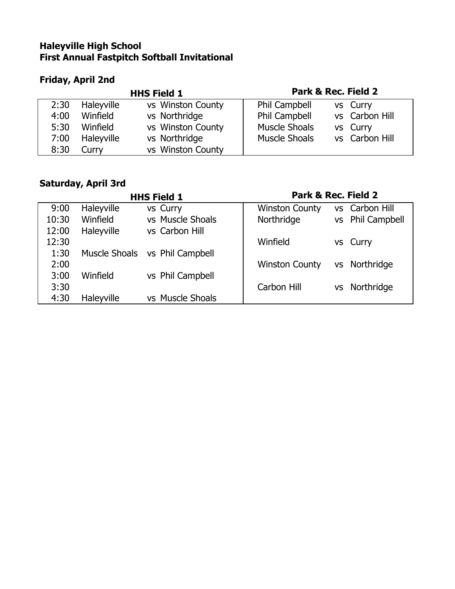#### **Haleyville High School First Annual Fastpitch Softball Invitational**

## **Friday, April 2nd**

| <b>HHS Field 1</b> |            |                   | Park & Rec. Field 2  |  |                |
|--------------------|------------|-------------------|----------------------|--|----------------|
| 2:30               | Haleyville | vs Winston County | Phil Campbell        |  | vs Curry       |
| 4:00               | Winfield   | vs Northridge     | Phil Campbell        |  | vs Carbon Hill |
| 5:30               | Winfield   | vs Winston County | <b>Muscle Shoals</b> |  | vs Curry       |
| 7:00               | Haleyville | vs Northridge     | <b>Muscle Shoals</b> |  | vs Carbon Hill |
| 8:30               | Curry      | vs Winston County |                      |  |                |

### **Saturday, April 3rd**

| <b>HHS Field 1</b> |            |                                | Park & Rec. Field 2   |           |                      |
|--------------------|------------|--------------------------------|-----------------------|-----------|----------------------|
| 9:00               | Haleyville | vs Curry                       | <b>Winston County</b> | VS.       | Carbon Hill          |
| 10:30              | Winfield   | vs Muscle Shoals               | Northridge            | <b>VS</b> | <b>Phil Campbell</b> |
| 12:00              | Haleyville | vs Carbon Hill                 |                       |           |                      |
| 12:30              |            |                                | Winfield              |           | vs Curry             |
| 1:30               |            | Muscle Shoals vs Phil Campbell |                       |           |                      |
| 2:00               |            |                                | <b>Winston County</b> | <b>VS</b> | Northridge           |
| 3:00               | Winfield   | vs Phil Campbell               |                       |           |                      |
| 3:30               |            |                                | Carbon Hill           | VS        | Northridge           |
| 4:30               | Haleyville | vs Muscle Shoals               |                       |           |                      |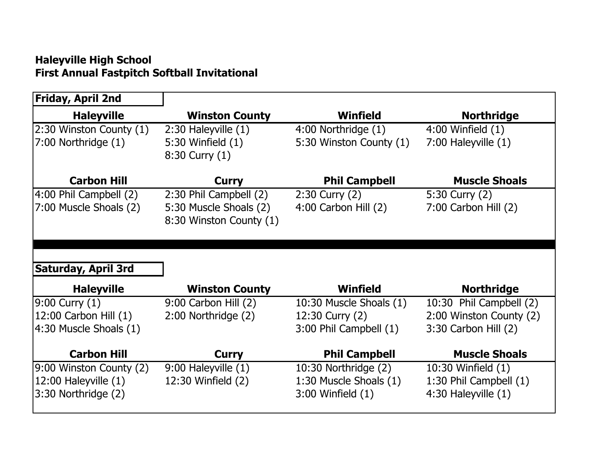### **Haleyville High School First Annual Fastpitch Softball Invitational**

| Friday, April 2nd        |                          |                          |                          |
|--------------------------|--------------------------|--------------------------|--------------------------|
| <b>Haleyville</b>        | <b>Winston County</b>    | Winfield                 | <b>Northridge</b>        |
| 2:30 Winston County (1)  | $2:30$ Haleyville $(1)$  | $4:00$ Northridge $(1)$  | 4:00 Winfield (1)        |
| $7:00$ Northridge $(1)$  | 5:30 Winfield (1)        | 5:30 Winston County (1)  | 7:00 Haleyville (1)      |
|                          | $8:30$ Curry $(1)$       |                          |                          |
| <b>Carbon Hill</b>       | Curry                    | <b>Phil Campbell</b>     | <b>Muscle Shoals</b>     |
| 4:00 Phil Campbell (2)   | 2:30 Phil Campbell (2)   | $2:30$ Curry $(2)$       | 5:30 Curry (2)           |
| 7:00 Muscle Shoals (2)   | 5:30 Muscle Shoals (2)   | $4:00$ Carbon Hill $(2)$ | $7:00$ Carbon Hill $(2)$ |
|                          | 8:30 Winston County (1)  |                          |                          |
|                          |                          |                          |                          |
|                          |                          |                          |                          |
| Saturday, April 3rd      |                          |                          |                          |
| <b>Haleyville</b>        | <b>Winston County</b>    | <b>Winfield</b>          | <b>Northridge</b>        |
| $9:00$ Curry $(1)$       | $9:00$ Carbon Hill $(2)$ | 10:30 Muscle Shoals (1)  | 10:30 Phil Campbell (2)  |
| 12:00 Carbon Hill (1)    | 2:00 Northridge (2)      | 12:30 Curry (2)          | 2:00 Winston County (2)  |
| 4:30 Muscle Shoals (1)   |                          | 3:00 Phil Campbell (1)   | $3:30$ Carbon Hill $(2)$ |
| <b>Carbon Hill</b>       | <b>Curry</b>             | <b>Phil Campbell</b>     | <b>Muscle Shoals</b>     |
| 9:00 Winston County (2)  | 9:00 Haleyville (1)      | 10:30 Northridge (2)     | 10:30 Winfield (1)       |
| $12:00$ Haleyville $(1)$ | 12:30 Winfield (2)       | 1:30 Muscle Shoals (1)   | 1:30 Phil Campbell (1)   |
| 3:30 Northridge (2)      |                          | $3:00$ Winfield $(1)$    | 4:30 Haleyville (1)      |
|                          |                          |                          |                          |